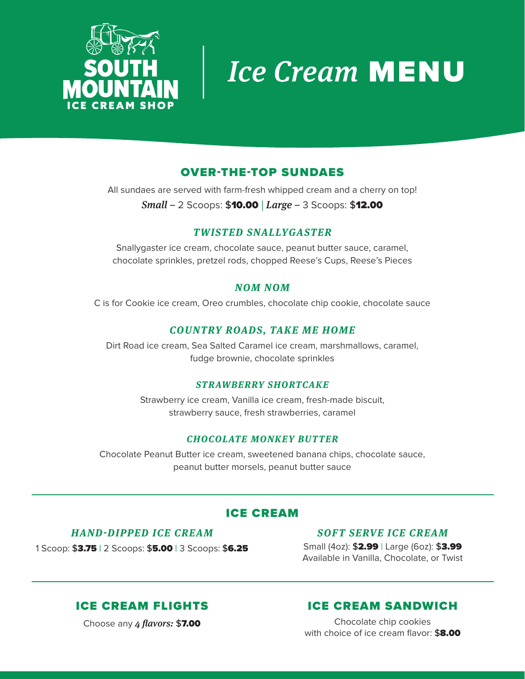

# **Ice Cream MENU**

# OVER-THE-TOP SUNDAES

All sundaes are served with farm-fresh whipped cream and a cherry on top! *Small –* 2 Scoops: \$10.00 | *Large –* 3 Scoops: \$12.00

# *TWISTED SNALLYGASTER*

Snallygaster ice cream, chocolate sauce, peanut butter sauce, caramel, chocolate sprinkles, pretzel rods, chopped Reese's Cups, Reese's Pieces

# *NOM NOM*

C is for Cookie ice cream, Oreo crumbles, chocolate chip cookie, chocolate sauce

# *COUNTRY ROADS, TAKE ME HOME*

Dirt Road ice cream, Sea Salted Caramel ice cream, marshmallows, caramel, fudge brownie, chocolate sprinkles

#### *STRAWBERRY SHORTCAKE*

Strawberry ice cream, Vanilla ice cream, fresh-made biscuit, strawberry sauce, fresh strawberries, caramel

## *CHOCOLATE MONKEY BUTTER*

Chocolate Peanut Butter ice cream, sweetened banana chips, chocolate sauce, peanut butter morsels, peanut butter sauce

# ICE CREAM

## *HAND-DIPPED ICE CREAM*

1 Scoop: \$3.75 | 2 Scoops: \$5.00 | 3 Scoops: \$6.25

## *SOFT SERVE ICE CREAM*

Small (4oz): \$2.99 | Large (6oz): \$3.99 Available in Vanilla, Chocolate, or Twist

# ICE CREAM FLIGHTS

Choose any *4 flavors:* \$7.00

# ICE CREAM SANDWICH

Chocolate chip cookies with choice of ice cream flavor: \$8.00